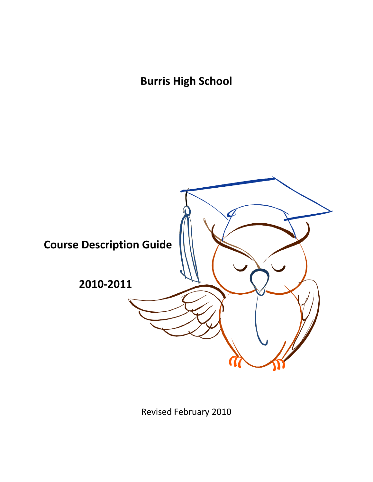**Burris High School**



Revised February 2010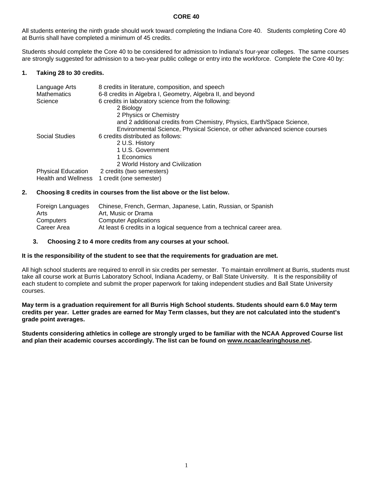#### **CORE 40**

All students entering the ninth grade should work toward completing the Indiana Core 40. Students completing Core 40 at Burris shall have completed a minimum of 45 credits.

Students should complete the Core 40 to be considered for admission to Indiana's four-year colleges. The same courses are strongly suggested for admission to a two-year public college or entry into the workforce. Complete the Core 40 by:

### **1. Taking 28 to 30 credits.**

| Language Arts<br><b>Mathematics</b> | 8 credits in literature, composition, and speech<br>6-8 credits in Algebra I, Geometry, Algebra II, and beyond |
|-------------------------------------|----------------------------------------------------------------------------------------------------------------|
| Science                             | 6 credits in laboratory science from the following:                                                            |
|                                     | 2 Biology                                                                                                      |
|                                     | 2 Physics or Chemistry                                                                                         |
|                                     | and 2 additional credits from Chemistry, Physics, Earth/Space Science,                                         |
|                                     | Environmental Science, Physical Science, or other advanced science courses                                     |
| Social Studies                      | 6 credits distributed as follows:                                                                              |
|                                     | 2 U.S. History                                                                                                 |
|                                     | 1 U.S. Government                                                                                              |
|                                     | 1 Economics                                                                                                    |
|                                     | 2 World History and Civilization                                                                               |
| <b>Physical Education</b>           | 2 credits (two semesters)                                                                                      |
| <b>Health and Wellness</b>          | 1 credit (one semester)                                                                                        |

#### **2. Choosing 8 credits in courses from the list above or the list below.**

| Foreign Languages | Chinese, French, German, Japanese, Latin, Russian, or Spanish          |
|-------------------|------------------------------------------------------------------------|
| Arts              | Art. Music or Drama                                                    |
| Computers         | <b>Computer Applications</b>                                           |
| Career Area       | At least 6 credits in a logical sequence from a technical career area. |

#### **3. Choosing 2 to 4 more credits from any courses at your school.**

#### **It is the responsibility of the student to see that the requirements for graduation are met.**

All high school students are required to enroll in six credits per semester. To maintain enrollment at Burris, students must take all course work at Burris Laboratory School, Indiana Academy, or Ball State University. It is the responsibility of each student to complete and submit the proper paperwork for taking independent studies and Ball State University courses.

#### **May term is a graduation requirement for all Burris High School students. Students should earn 6.0 May term credits per year. Letter grades are earned for May Term classes, but they are not calculated into the student's grade point averages.**

**Students considering athletics in college are strongly urged to be familiar with the NCAA Approved Course list and plan their academic courses accordingly. The list can be found on www.ncaaclearinghouse.net.**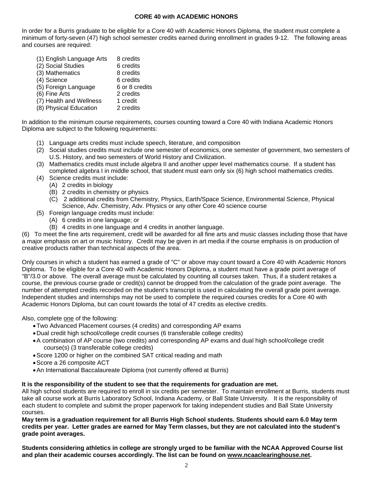### **CORE 40 with ACADEMIC HONORS**

In order for a Burris graduate to be eligible for a Core 40 with Academic Honors Diploma, the student must complete a minimum of forty-seven (47) high school semester credits earned during enrollment in grades 9-12. The following areas and courses are required:

- (1) English Language Arts 8 credits
- (2) Social Studies 6 credits
- (3) Mathematics 8 credits
- (4) Science 6 credits<br>(5) Foreign Language 6 or 8 credits  $(5)$  Foreign Language
- (6) Fine Arts 2 credits
- (7) Health and Wellness 1 credit
- (8) Physical Education 2 credits

In addition to the minimum course requirements, courses counting toward a Core 40 with Indiana Academic Honors Diploma are subject to the following requirements:

- (1) Language arts credits must include speech, literature, and composition
- (2) Social studies credits must include one semester of economics, one semester of government, two semesters of U.S. History, and two semesters of World History and Civilization.
- (3) Mathematics credits must include algebra II and another upper level mathematics course. If a student has completed algebra I in middle school, that student must earn only six (6) high school mathematics credits.
- (4) Science credits must include:
	- (A) 2 credits in biology
	- (B) 2 credits in chemistry or physics
	- (C) 2 additional credits from Chemistry, Physics, Earth/Space Science, Environmental Science, Physical Science, Adv. Chemistry, Adv. Physics or any other Core 40 science course
- (5) Foreign language credits must include:
	- (A) 6 credits in one language; or
	- (B) 4 credits in one language and 4 credits in another language.

(6) To meet the fine arts requirement, credit will be awarded for all fine arts and music classes including those that have a major emphasis on art or music history. Credit may be given in art media if the course emphasis is on production of creative products rather than technical aspects of the area.

Only courses in which a student has earned a grade of "C" or above may count toward a Core 40 with Academic Honors Diploma. To be eligible for a Core 40 with Academic Honors Diploma, a student must have a grade point average of "B"/3.0 or above. The overall average must be calculated by counting all courses taken. Thus, if a student retakes a course, the previous course grade or credit(s) cannot be dropped from the calculation of the grade point average. The number of attempted credits recorded on the student's transcript is used in calculating the overall grade point average. Independent studies and internships may not be used to complete the required courses credits for a Core 40 with Academic Honors Diploma, but can count towards the total of 47 credits as elective credits.

Also, complete one of the following:

- Two Advanced Placement courses (4 credits) and corresponding AP exams
- Dual credit high school/college credit courses (6 transferable college credits)
- A combination of AP course (two credits) and corresponding AP exams and dual high school/college credit course(s) (3 transferable college credits)
- Score 1200 or higher on the combined SAT critical reading and math
- Score a 26 composite ACT
- An International Baccalaureate Diploma (not currently offered at Burris)

### **It is the responsibility of the student to see that the requirements for graduation are met.**

All high school students are required to enroll in six credits per semester. To maintain enrollment at Burris, students must take all course work at Burris Laboratory School, Indiana Academy, or Ball State University. It is the responsibility of each student to complete and submit the proper paperwork for taking independent studies and Ball State University courses.

**May term is a graduation requirement for all Burris High School students. Students should earn 6.0 May term credits per year. Letter grades are earned for May Term classes, but they are not calculated into the student's grade point averages.** 

**Students considering athletics in college are strongly urged to be familiar with the NCAA Approved Course list and plan their academic courses accordingly. The list can be found on www.ncaaclearinghouse.net.**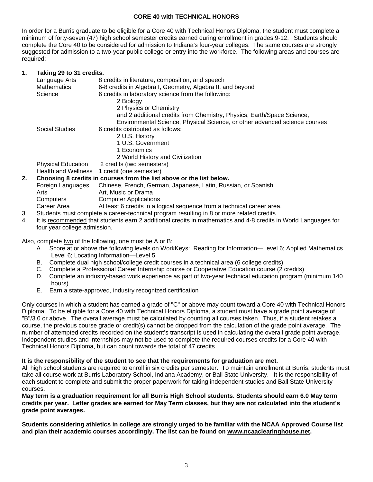## **CORE 40 with TECHNICAL HONORS**

In order for a Burris graduate to be eligible for a Core 40 with Technical Honors Diploma, the student must complete a minimum of forty-seven (47) high school semester credits earned during enrollment in grades 9-12. Students should complete the Core 40 to be considered for admission to Indiana's four-year colleges. The same courses are strongly suggested for admission to a two-year public college or entry into the workforce. The following areas and courses are required:

### **1. Taking 29 to 31 credits.**

|    | Language Arts                                                        | 8 credits in literature, composition, and speech                           |
|----|----------------------------------------------------------------------|----------------------------------------------------------------------------|
|    | <b>Mathematics</b>                                                   | 6-8 credits in Algebra I, Geometry, Algebra II, and beyond                 |
|    | Science                                                              | 6 credits in laboratory science from the following:                        |
|    |                                                                      | 2 Biology                                                                  |
|    |                                                                      | 2 Physics or Chemistry                                                     |
|    |                                                                      | and 2 additional credits from Chemistry, Physics, Earth/Space Science,     |
|    |                                                                      | Environmental Science, Physical Science, or other advanced science courses |
|    | Social Studies                                                       | 6 credits distributed as follows:                                          |
|    |                                                                      | 2 U.S. History                                                             |
|    |                                                                      | 1 U.S. Government                                                          |
|    |                                                                      | 1 Economics                                                                |
|    |                                                                      | 2 World History and Civilization                                           |
|    | <b>Physical Education</b>                                            | 2 credits (two semesters)                                                  |
|    | Health and Wellness                                                  | 1 credit (one semester)                                                    |
| 2. | Choosing 8 credits in courses from the list above or the list below. |                                                                            |
|    | Foreign Languages                                                    | Chinese, French, German, Japanese, Latin, Russian, or Spanish              |
|    | Arts                                                                 | Art, Music or Drama                                                        |

Computers Computer Applications

Career Area **At least 6 credits in a logical sequence from a technical career area.** 

- 3. Students must complete a career-technical program resulting in 8 or more related credits
- 4. It is recommended that students earn 2 additional credits in mathematics and 4-8 credits in World Languages for four year college admission.

Also, complete two of the following, one must be A or B:

- A. Score at or above the following levels on WorkKeys: Reading for Information—Level 6; Applied Mathematics Level 6; Locating Information—Level 5
- B. Complete dual high school/college credit courses in a technical area (6 college credits)
- C. Complete a Professional Career Internship course or Cooperative Education course (2 credits)
- D. Complete an industry-based work experience as part of two-year technical education program (minimum 140 hours)
- E. Earn a state-approved, industry recognized certification

Only courses in which a student has earned a grade of "C" or above may count toward a Core 40 with Technical Honors Diploma. To be eligible for a Core 40 with Technical Honors Diploma, a student must have a grade point average of "B"/3.0 or above. The overall average must be calculated by counting all courses taken. Thus, if a student retakes a course, the previous course grade or credit(s) cannot be dropped from the calculation of the grade point average. The number of attempted credits recorded on the student's transcript is used in calculating the overall grade point average. Independent studies and internships may not be used to complete the required courses credits for a Core 40 with Technical Honors Diploma, but can count towards the total of 47 credits.

#### **It is the responsibility of the student to see that the requirements for graduation are met.**

All high school students are required to enroll in six credits per semester. To maintain enrollment at Burris, students must take all course work at Burris Laboratory School, Indiana Academy, or Ball State University. It is the responsibility of each student to complete and submit the proper paperwork for taking independent studies and Ball State University courses.

**May term is a graduation requirement for all Burris High School students. Students should earn 6.0 May term credits per year. Letter grades are earned for May Term classes, but they are not calculated into the student's grade point averages.** 

**Students considering athletics in college are strongly urged to be familiar with the NCAA Approved Course list and plan their academic courses accordingly. The list can be found on www.ncaaclearinghouse.net.**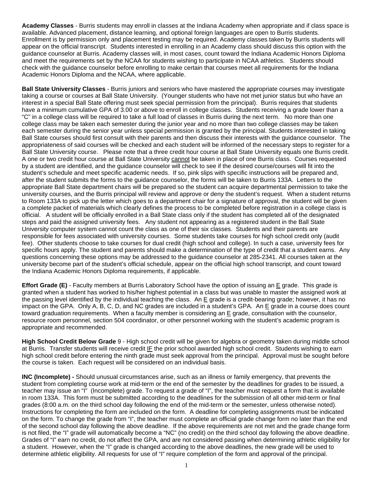**Academy Classes** - Burris students may enroll in classes at the Indiana Academy when appropriate and if class space is available. Advanced placement, distance learning, and optional foreign languages are open to Burris students. Enrollment is by permission only and placement testing may be required. Academy classes taken by Burris students will appear on the official transcript. Students interested in enrolling in an Academy class should discuss this option with the guidance counselor at Burris. Academy classes will, in most cases, count toward the Indiana Academic Honors Diploma and meet the requirements set by the NCAA for students wishing to participate in NCAA athletics. Students should check with the guidance counselor before enrolling to make certain that courses meet all requirements for the Indiana Academic Honors Diploma and the NCAA, where applicable.

**Ball State University Classes** - Burris juniors and seniors who have mastered the appropriate courses may investigate taking a course or courses at Ball State University. (Younger students who have not met junior status but who have an interest in a special Ball State offering must seek special permission from the principal). Burris requires that students have a minimum cumulative GPA of 3.00 or above to enroll in college classes. Students receiving a grade lower than a "C" in a college class will be required to take a full load of classes in Burris during the next term. No more than one college class may be taken each semester during the junior year and no more than two college classes may be taken each semester during the senior year unless special permission is granted by the principal. Students interested in taking Ball State courses should first consult with their parents and then discuss their interests with the guidance counselor. The appropriateness of said courses will be checked and each student will be informed of the necessary steps to register for a Ball State University course. Please note that a three credit hour course at Ball State University equals one Burris credit. A one or two credit hour course at Ball State University cannot be taken in place of one Burris class. Courses requested by a student are identified, and the guidance counselor will check to see if the desired course/courses will fit into the student's schedule and meet specific academic needs. If so, pink slips with specific instructions will be prepared and, after the student submits the forms to the guidance counselor, the forms will be taken to Burris 133A. Letters to the appropriate Ball State department chairs will be prepared so the student can acquire departmental permission to take the university courses, and the Burris principal will review and approve or deny the student's request. When a student returns to Room 133A to pick up the letter which goes to a department chair for a signature of approval, the student will be given a complete packet of materials which clearly defines the process to be completed before registration in a college class is official. A student will be officially enrolled in a Ball State class only if the student has completed all of the designated steps and paid the assigned university fees. Any student not appearing as a registered student in the Ball State University computer system cannot count the class as one of their six classes. Students and their parents are responsible for fees associated with university courses. Some students take courses for high school credit only (audit fee). Other students choose to take courses for dual credit (high school and college). In such a case, university fees for specific hours apply. The student and parents should make a determination of the type of credit that a student earns. Any questions concerning these options may be addressed to the guidance counselor at 285-2341. All courses taken at the university become part of the student's official schedule, appear on the official high school transcript, and count toward the Indiana Academic Honors Diploma requirements, if applicable.

**Effort Grade (E)** - Faculty members at Burris Laboratory School have the option of issuing an E grade. This grade is granted when a student has worked to his/her highest potential in a class but was unable to master the assigned work at the passing level identified by the individual teaching the class. An E grade is a credit-bearing grade; however, it has no impact on the GPA. Only A, B, C, D, and NC grades are included in a student's GPA. An E grade in a course does count toward graduation requirements. When a faculty member is considering an E grade, consultation with the counselor, resource room personnel, section 504 coordinator, or other personnel working with the student's academic program is appropriate and recommended.

**High School Credit Below Grade** 9 - High school credit will be given for algebra or geometry taken during middle school at Burris. Transfer students will receive credit IF the prior school awarded high school credit. Students wishing to earn high school credit before entering the ninth grade must seek approval from the principal. Approval must be sought before the course is taken. Each request will be considered on an individual basis.

**INC (Incomplete) -** Should unusual circumstances arise, such as an illness or family emergency, that prevents the student from completing course work at mid-term or the end of the semester by the deadlines for grades to be issued, a teacher may issue an "I" (Incomplete) grade. To request a grade of "I", the teacher must request a form that is available in room 133A. This form must be submitted according to the deadlines for the submission of all other mid-term or final grades (8:00 a.m. on the third school day following the end of the mid-term or the semester, unless otherwise noted). Instructions for completing the form are included on the form. A deadline for completing assignments must be indicated on the form. To change the grade from "I", the teacher must complete an official grade change form no later than the end of the second school day following the above deadline. If the above requirements are not met and the grade change form is not filed, the "I" grade will automatically become a "NC" (no credit) on the third school day following the above deadline. Grades of "I" earn no credit, do not affect the GPA, and are not considered passing when determining athletic eligibility for a student. However, when the "I" grade is changed according to the above deadlines, the new grade will be used to determine athletic eligibility. All requests for use of "I" require completion of the form and approval of the principal.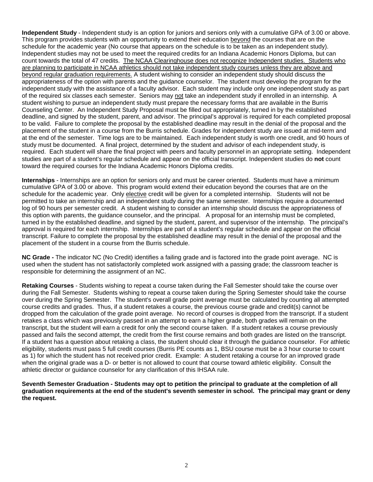**Independent Study** - Independent study is an option for juniors and seniors only with a cumulative GPA of 3.00 or above. This program provides students with an opportunity to extend their education beyond the courses that are on the schedule for the academic year (No course that appears on the schedule is to be taken as an independent study). Independent studies may not be used to meet the required credits for an Indiana Academic Honors Diploma, but can count towards the total of 47 credits. The NCAA Clearinghouse does not recognize Independent studies. Students who are planning to participate in NCAA athletics should not take independent study courses unless they are above and beyond regular graduation requirements. A student wishing to consider an independent study should discuss the appropriateness of the option with parents and the guidance counselor. The student must develop the program for the independent study with the assistance of a faculty advisor. Each student may include only one independent study as part of the required six classes each semester. Seniors may not take an independent study if enrolled in an internship. A student wishing to pursue an independent study must prepare the necessary forms that are available in the Burris Counseling Center. An Independent Study Proposal must be filled out appropriately, turned in by the established deadline, and signed by the student, parent, and advisor. The principal's approval is required for each completed proposal to be valid. Failure to complete the proposal by the established deadline may result in the denial of the proposal and the placement of the student in a course from the Burris schedule. Grades for independent study are issued at mid-term and at the end of the semester. Time logs are to be maintained. Each independent study is worth one credit, and 90 hours of study must be documented. A final project, determined by the student and advisor of each independent study, is required. Each student will share the final project with peers and faculty personnel in an appropriate setting. Independent studies are part of a student's regular schedule and appear on the official transcript. Independent studies do **not** count toward the required courses for the Indiana Academic Honors Diploma credits.

**Internships** - Internships are an option for seniors only and must be career oriented. Students must have a minimum cumulative GPA of 3.00 or above. This program would extend their education beyond the courses that are on the schedule for the academic year. Only elective credit will be given for a completed internship. Students will not be permitted to take an internship and an independent study during the same semester. Internships require a documented log of 90 hours per semester credit. A student wishing to consider an internship should discuss the appropriateness of this option with parents, the guidance counselor, and the principal. A proposal for an internship must be completed, turned in by the established deadline, and signed by the student, parent, and supervisor of the internship. The principal's approval is required for each internship. Internships are part of a student's regular schedule and appear on the official transcript. Failure to complete the proposal by the established deadline may result in the denial of the proposal and the placement of the student in a course from the Burris schedule.

**NC Grade -** The indicator NC (No Credit) identifies a failing grade and is factored into the grade point average. NC is used when the student has not satisfactorily completed work assigned with a passing grade; the classroom teacher is responsible for determining the assignment of an NC.

**Retaking Courses** - Students wishing to repeat a course taken during the Fall Semester should take the course over during the Fall Semester. Students wishing to repeat a course taken during the Spring Semester should take the course over during the Spring Semester. The student's overall grade point average must be calculated by counting all attempted course credits and grades. Thus, if a student retakes a course, the previous course grade and credit(s) cannot be dropped from the calculation of the grade point average. No record of courses is dropped from the transcript. If a student retakes a class which was previously passed in an attempt to earn a higher grade, both grades will remain on the transcript, but the student will earn a credit for only the second course taken. If a student retakes a course previously passed and fails the second attempt, the credit from the first course remains and both grades are listed on the transcript. If a student has a question about retaking a class, the student should clear it through the guidance counselor. For athletic eligibility, students must pass 5 full credit courses (Burris PE counts as 1, BSU course must be a 3 hour course to count as 1) for which the student has not received prior credit. Example: A student retaking a course for an improved grade when the original grade was a D- or better is not allowed to count that course toward athletic eligibility. Consult the athletic director or guidance counselor for any clarification of this IHSAA rule.

**Seventh Semester Graduation - Students may opt to petition the principal to graduate at the completion of all graduation requirements at the end of the student's seventh semester in school. The principal may grant or deny the request.**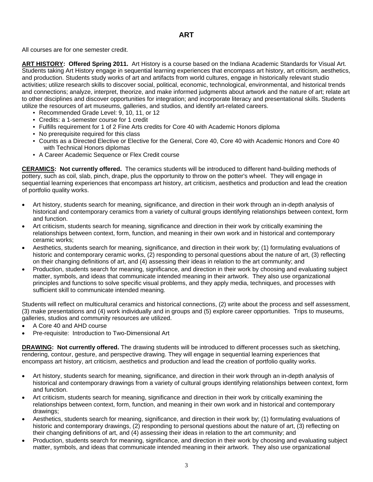## **ART**

All courses are for one semester credit.

**ART HISTORY: Offered Spring 2011.** Art History is a course based on the Indiana Academic Standards for Visual Art. Students taking Art History engage in sequential learning experiences that encompass art history, art criticism, aesthetics, and production. Students study works of art and artifacts from world cultures, engage in historically relevant studio activities; utilize research skills to discover social, political, economic, technological, environmental, and historical trends and connections; analyze, interpret, theorize, and make informed judgments about artwork and the nature of art; relate art to other disciplines and discover opportunities for integration; and incorporate literacy and presentational skills. Students utilize the resources of art museums, galleries, and studios, and identify art-related careers.

- Recommended Grade Level: 9, 10, 11, or 12
- Credits: a 1-semester course for 1 credit
- Fulfills requirement for 1 of 2 Fine Arts credits for Core 40 with Academic Honors diploma
- No prerequisite required for this class
- Counts as a Directed Elective or Elective for the General, Core 40, Core 40 with Academic Honors and Core 40 with Technical Honors diplomas
- A Career Academic Sequence or Flex Credit course

**CERAMICS: Not currently offered.** The ceramics students will be introduced to different hand-building methods of pottery, such as coil, slab, pinch, drape, plus the opportunity to throw on the potter's wheel. They will engage in sequential learning experiences that encompass art history, art criticism, aesthetics and production and lead the creation of portfolio quality works.

- Art history, students search for meaning, significance, and direction in their work through an in-depth analysis of historical and contemporary ceramics from a variety of cultural groups identifying relationships between context, form and function.
- Art criticism, students search for meaning, significance and direction in their work by critically examining the relationships between context, form, function, and meaning in their own work and in historical and contemporary ceramic works;
- Aesthetics, students search for meaning, significance, and direction in their work by; (1) formulating evaluations of historic and contemporary ceramic works, (2) responding to personal questions about the nature of art, (3) reflecting on their changing definitions of art, and (4) assessing their ideas in relation to the art community; and
- Production, students search for meaning, significance, and direction in their work by choosing and evaluating subject matter, symbols, and ideas that communicate intended meaning in their artwork. They also use organizational principles and functions to solve specific visual problems, and they apply media, techniques, and processes with sufficient skill to communicate intended meaning.

Students will reflect on multicultural ceramics and historical connections, (2) write about the process and self assessment, (3) make presentations and (4) work individually and in groups and (5) explore career opportunities. Trips to museums, galleries, studios and community resources are utilized.

- A Core 40 and AHD course
- Pre-requisite: Introduction to Two-Dimensional Art

**DRAWING: Not currently offered.** The drawing students will be introduced to different processes such as sketching, rendering, contour, gesture, and perspective drawing. They will engage in sequential learning experiences that encompass art history, art criticism, aesthetics and production and lead the creation of portfolio quality works.

- Art history, students search for meaning, significance, and direction in their work through an in-depth analysis of historical and contemporary drawings from a variety of cultural groups identifying relationships between context, form and function.
- Art criticism, students search for meaning, significance and direction in their work by critically examining the relationships between context, form, function, and meaning in their own work and in historical and contemporary drawings;
- Aesthetics, students search for meaning, significance, and direction in their work by; (1) formulating evaluations of historic and contemporary drawings, (2) responding to personal questions about the nature of art, (3) reflecting on their changing definitions of art, and (4) assessing their ideas in relation to the art community; and
- Production, students search for meaning, significance, and direction in their work by choosing and evaluating subject matter, symbols, and ideas that communicate intended meaning in their artwork. They also use organizational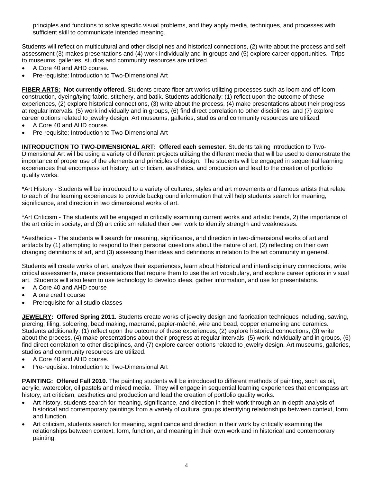principles and functions to solve specific visual problems, and they apply media, techniques, and processes with sufficient skill to communicate intended meaning.

Students will reflect on multicultural and other disciplines and historical connections, (2) write about the process and self assessment (3) makes presentations and (4) work individually and in groups and (5) explore career opportunities. Trips to museums, galleries, studios and community resources are utilized.

- A Core 40 and AHD course.
- Pre-requisite: Introduction to Two-Dimensional Art

**FIBER ARTS: Not currently offered.** Students create fiber art works utilizing processes such as loom and off-loom construction, dyeing/tying fabric, stitchery, and batik. Students additionally: (1) reflect upon the outcome of these experiences, (2) explore historical connections, (3) write about the process, (4) make presentations about their progress at regular intervals, (5) work individually and in groups, (6) find direct correlation to other disciplines, and (7) explore career options related to jewelry design. Art museums, galleries, studios and community resources are utilized.

- A Core 40 and AHD course.
- Pre-requisite: Introduction to Two-Dimensional Art

**INTRODUCTION TO TWO-DIMENSIONAL ART: Offered each semester.** Students taking Introduction to Two-Dimensional Art will be using a variety of different projects utilizing the different media that will be used to demonstrate the importance of proper use of the elements and principles of design. The students will be engaged in sequential learning experiences that encompass art history, art criticism, aesthetics, and production and lead to the creation of portfolio quality works.

\*Art History - Students will be introduced to a variety of cultures, styles and art movements and famous artists that relate to each of the learning experiences to provide background information that will help students search for meaning, significance, and direction in two dimensional works of art.

\*Art Criticism - The students will be engaged in critically examining current works and artistic trends, 2) the importance of the art critic in society, and (3) art criticism related their own work to identify strength and weaknesses.

\*Aesthetics - The students will search for meaning, significance, and direction in two-dimensional works of art and artifacts by (1) attempting to respond to their personal questions about the nature of art, (2) reflecting on their own changing definitions of art, and (3) assessing their ideas and definitions in relation to the art community in general.

Students will create works of art, analyze their experiences, learn about historical and interdisciplinary connections, write critical assessments, make presentations that require them to use the art vocabulary, and explore career options in visual art. Students will also learn to use technology to develop ideas, gather information, and use for presentations.

- A Core 40 and AHD course
- A one credit course
- Prerequisite for all studio classes

**JEWELRY: Offered Spring 2011.** Students create works of jewelry design and fabrication techniques including, sawing, piercing, filing, soldering, bead making, macramé, papier-mâché, wire and bead, copper enameling and ceramics. Students additionally: (1) reflect upon the outcome of these experiences, (2) explore historical connections, (3) write about the process, (4) make presentations about their progress at regular intervals, (5) work individually and in groups, (6) find direct correlation to other disciplines, and (7) explore career options related to jewelry design. Art museums, galleries, studios and community resources are utilized.

- A Core 40 and AHD course.
- Pre-requisite: Introduction to Two-Dimensional Art

**PAINTING: Offered Fall 2010.** The painting students will be introduced to different methods of painting, such as oil, acrylic, watercolor, oil pastels and mixed media. They will engage in sequential learning experiences that encompass art history, art criticism, aesthetics and production and lead the creation of portfolio quality works.

- Art history, students search for meaning, significance, and direction in their work through an in-depth analysis of historical and contemporary paintings from a variety of cultural groups identifying relationships between context, form and function.
- Art criticism, students search for meaning, significance and direction in their work by critically examining the relationships between context, form, function, and meaning in their own work and in historical and contemporary painting;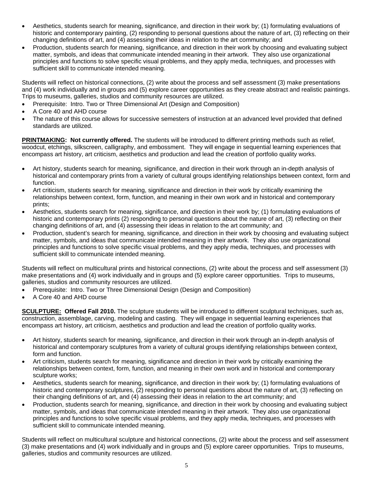- Aesthetics, students search for meaning, significance, and direction in their work by; (1) formulating evaluations of historic and contemporary painting, (2) responding to personal questions about the nature of art, (3) reflecting on their changing definitions of art, and (4) assessing their ideas in relation to the art community; and
- Production, students search for meaning, significance, and direction in their work by choosing and evaluating subject matter, symbols, and ideas that communicate intended meaning in their artwork. They also use organizational principles and functions to solve specific visual problems, and they apply media, techniques, and processes with sufficient skill to communicate intended meaning.

Students will reflect on historical connections, (2) write about the process and self assessment (3) make presentations and (4) work individually and in groups and (5) explore career opportunities as they create abstract and realistic paintings. Trips to museums, galleries, studios and community resources are utilized.

- Prerequisite: Intro. Two or Three Dimensional Art (Design and Composition)
- A Core 40 and AHD course
- The nature of this course allows for successive semesters of instruction at an advanced level provided that defined standards are utilized.

**PRINTMAKING: Not currently offered.** The students will be introduced to different printing methods such as relief, woodcut, etchings, silkscreen, calligraphy, and embossment. They will engage in sequential learning experiences that encompass art history, art criticism, aesthetics and production and lead the creation of portfolio quality works.

- Art history, students search for meaning, significance, and direction in their work through an in-depth analysis of historical and contemporary prints from a variety of cultural groups identifying relationships between context, form and function.
- Art criticism, students search for meaning, significance and direction in their work by critically examining the relationships between context, form, function, and meaning in their own work and in historical and contemporary prints;
- Aesthetics, students search for meaning, significance, and direction in their work by; (1) formulating evaluations of historic and contemporary prints (2) responding to personal questions about the nature of art, (3) reflecting on their changing definitions of art, and (4) assessing their ideas in relation to the art community; and
- Production, student's search for meaning, significance, and direction in their work by choosing and evaluating subject matter, symbols, and ideas that communicate intended meaning in their artwork. They also use organizational principles and functions to solve specific visual problems, and they apply media, techniques, and processes with sufficient skill to communicate intended meaning.

Students will reflect on multicultural prints and historical connections, (2) write about the process and self assessment (3) make presentations and (4) work individually and in groups and (5) explore career opportunities. Trips to museums, galleries, studios and community resources are utilized.

- Prerequisite: Intro. Two or Three Dimensional Design (Design and Composition)
- A Core 40 and AHD course

**SCULPTURE: Offered Fall 2010.** The sculpture students will be introduced to different sculptural techniques, such as, construction, assemblage, carving, modeling and casting. They will engage in sequential learning experiences that encompass art history, art criticism, aesthetics and production and lead the creation of portfolio quality works.

- Art history, students search for meaning, significance, and direction in their work through an in-depth analysis of historical and contemporary sculptures from a variety of cultural groups identifying relationships between context, form and function.
- Art criticism, students search for meaning, significance and direction in their work by critically examining the relationships between context, form, function, and meaning in their own work and in historical and contemporary sculpture works;
- Aesthetics, students search for meaning, significance, and direction in their work by; (1) formulating evaluations of historic and contemporary sculptures, (2) responding to personal questions about the nature of art, (3) reflecting on their changing definitions of art, and (4) assessing their ideas in relation to the art community; and
- Production, students search for meaning, significance, and direction in their work by choosing and evaluating subject matter, symbols, and ideas that communicate intended meaning in their artwork. They also use organizational principles and functions to solve specific visual problems, and they apply media, techniques, and processes with sufficient skill to communicate intended meaning.

Students will reflect on multicultural sculpture and historical connections, (2) write about the process and self assessment (3) make presentations and (4) work individually and in groups and (5) explore career opportunities. Trips to museums, galleries, studios and community resources are utilized.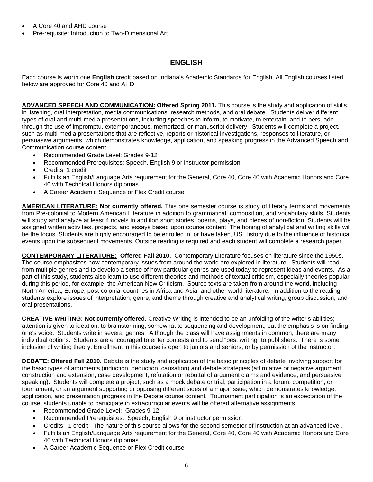- A Core 40 and AHD course
- Pre-requisite: Introduction to Two-Dimensional Art

# **ENGLISH**

Each course is worth one **English** credit based on Indiana's Academic Standards for English. All English courses listed below are approved for Core 40 and AHD.

**ADVANCED SPEECH AND COMMUNICATION: Offered Spring 2011.** This course is the study and application of skills in listening, oral interpretation, media communications, research methods, and oral debate. Students deliver different types of oral and multi-media presentations, including speeches to inform, to motivate, to entertain, and to persuade through the use of impromptu, extemporaneous, memorized, or manuscript delivery. Students will complete a project, such as multi-media presentations that are reflective, reports or historical investigations, responses to literature, or persuasive arguments, which demonstrates knowledge, application, and speaking progress in the Advanced Speech and Communication course content.

- Recommended Grade Level: Grades 9-12
- Recommended Prerequisites: Speech, English 9 or instructor permission
- Credits: 1 credit
- Fulfills an English/Language Arts requirement for the General, Core 40, Core 40 with Academic Honors and Core 40 with Technical Honors diplomas
- A Career Academic Sequence or Flex Credit course

**AMERICAN LITERATURE: Not currently offered.** This one semester course is study of literary terms and movements from Pre-colonial to Modern American Literature in addition to grammatical, composition, and vocabulary skills. Students will study and analyze at least 4 novels in addition short stories, poems, plays, and pieces of non-fiction. Students will be assigned written activities, projects, and essays based upon course content. The honing of analytical and writing skills will be the focus. Students are highly encouraged to be enrolled in, or have taken, US History due to the influence of historical events upon the subsequent movements. Outside reading is required and each student will complete a research paper.

**CONTEMPORARY LITERATURE: Offered Fall 2010.** Contemporary Literature focuses on literature since the 1950s. The course emphasizes how contemporary issues from around the world are explored in literature. Students will read from multiple genres and to develop a sense of how particular genres are used today to represent ideas and events. As a part of this study, students also learn to use different theories and methods of textual criticism, especially theories popular during this period, for example, the American New Criticism. Source texts are taken from around the world, including North America, Europe, post-colonial countries in Africa and Asia, and other world literature. In addition to the reading, students explore issues of interpretation, genre, and theme through creative and analytical writing, group discussion, and oral presentations.

**CREATIVE WRITING: Not currently offered.** Creative Writing is intended to be an unfolding of the writer's abilities; attention is given to ideation, to brainstorming, somewhat to sequencing and development, but the emphasis is on finding one's voice. Students write in several genres. Although the class will have assignments in common, there are many individual options. Students are encouraged to enter contests and to send "best writing" to publishers. There is some inclusion of writing theory. Enrollment in this course is open to juniors and seniors, or by permission of the instructor.

**DEBATE: Offered Fall 2010.** Debate is the study and application of the basic principles of debate involving support for the basic types of arguments (induction, deduction, causation) and debate strategies (affirmative or negative argument construction and extension, case development, refutation or rebuttal of argument claims and evidence, and persuasive speaking). Students will complete a project, such as a mock debate or trial, participation in a forum, competition, or tournament, or an argument supporting or opposing different sides of a major issue, which demonstrates knowledge, application, and presentation progress in the Debate course content. Tournament participation is an expectation of the course; students unable to participate in extracurricular events will be offered alternative assignments.

- Recommended Grade Level: Grades 9-12
- Recommended Prerequisites: Speech, English 9 or instructor permission
- Credits: 1 credit. The nature of this course allows for the second semester of instruction at an advanced level.
- Fulfills an English/Language Arts requirement for the General, Core 40, Core 40 with Academic Honors and Core 40 with Technical Honors diplomas
- A Career Academic Sequence or Flex Credit course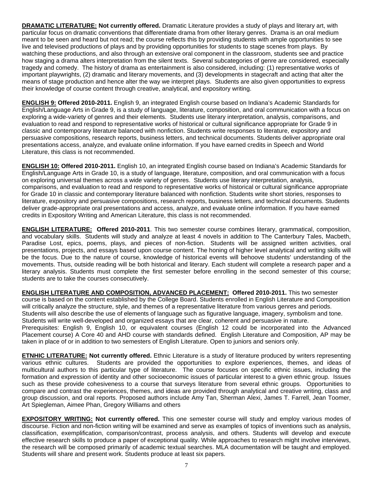**DRAMATIC LITERATURE: Not currently offered.** Dramatic Literature provides a study of plays and literary art, with particular focus on dramatic conventions that differentiate drama from other literary genres. Drama is an oral medium meant to be seen and heard but not read; the course reflects this by providing students with ample opportunities to see live and televised productions of plays and by providing opportunities for students to stage scenes from plays. By watching these productions, and also through an extensive oral component in the classroom, students see and practice how staging a drama alters interpretation from the silent texts. Several subcategories of genre are considered, especially tragedy and comedy. The history of drama as entertainment is also considered, including: (1) representative works of important playwrights, (2) dramatic and literary movements, and (3) developments in stagecraft and acting that alter the means of stage production and hence alter the way we interpret plays. Students are also given opportunities to express their knowledge of course content through creative, analytical, and expository writing.

**ENGLISH 9: Offered 2010-2011.** English 9, an integrated English course based on Indiana's Academic Standards for English/Language Arts in Grade 9, is a study of language, literature, composition, and oral communication with a focus on exploring a wide-variety of genres and their elements. Students use literary interpretation, analysis, comparisons, and evaluation to read and respond to representative works of historical or cultural significance appropriate for Grade 9 in classic and contemporary literature balanced with nonfiction. Students write responses to literature, expository and persuasive compositions, research reports, business letters, and technical documents. Students deliver appropriate oral presentations access, analyze, and evaluate online information. If you have earned credits in Speech and World Literature, this class is not recommended.

**ENGLISH 10: Offered 2010-2011.** English 10, an integrated English course based on Indiana's Academic Standards for English/Language Arts in Grade 10, is a study of language, literature, composition, and oral communication with a focus on exploring universal themes across a wide variety of genres. Students use literary interpretation, analysis, comparisons, and evaluation to read and respond to representative works of historical or cultural significance appropriate for Grade 10 in classic and contemporary literature balanced with nonfiction. Students write short stories, responses to literature, expository and persuasive compositions, research reports, business letters, and technical documents. Students deliver grade-appropriate oral presentations and access, analyze, and evaluate online information. If you have earned credits in Expository Writing and American Literature, this class is not recommended.

**ENGLISH LITERATURE: Offered 2010-2011**. This two semester course combines literary, grammatical, composition, and vocabulary skills. Students will study and analyze at least 4 novels in addition to The Canterbury Tales, Macbeth, Paradise Lost, epics, poems, plays, and pieces of non-fiction. Students will be assigned written activities, oral presentations, projects, and essays based upon course content. The honing of higher level analytical and writing skills will be the focus. Due to the nature of course, knowledge of historical events will behoove students' understanding of the movements. Thus, outside reading will be both historical and literary. Each student will complete a research paper and a literary analysis. Students must complete the first semester before enrolling in the second semester of this course; students are to take the courses consecutively.

**ENGLISH LITERATURE AND COMPOSITION, ADVANCED PLACEMENT: Offered 2010-2011.** This two semester course is based on the content established by the College Board. Students enrolled in English Literature and Composition will critically analyze the structure, style, and themes of a representative literature from various genres and periods. Students will also describe the use of elements of language such as figurative language, imagery, symbolism and tone. Students will write well-developed and organized essays that are clear, coherent and persuasive in nature. Prerequisites: English 9, English 10, or equivalent courses (English 12 could be incorporated into the Advanced Placement course) A Core 40 and AHD course with standards defined. English Literature and Composition, AP may be taken in place of or in addition to two semesters of English Literature. Open to juniors and seniors only.

**ETNHIC LITERATURE: Not currently offered.** Ethnic Literature is a study of literature produced by writers representing various ethnic cultures. Students are provided the opportunities to explore experiences, themes, and ideas of multicultural authors to this particular type of literature. The course focuses on specific ethnic issues, including the formation and expression of identity and other socioeconomic issues of particular interest to a given ethnic group. Issues such as these provide cohesiveness to a course that surveys literature from several ethnic groups. Opportunities to compare and contrast the experiences, themes, and ideas are provided through analytical and creative writing, class and group discussion, and oral reports. Proposed authors include Amy Tan, Sherman Alexi, James T. Farrell, Jean Toomer, Art Spiegleman, Aimee Phan, Gregory Williams and others

**EXPOSITORY WRITING: Not currently offered.** This one semester course will study and employ various modes of discourse. Fiction and non-fiction writing will be examined and serve as examples of topics of inventions such as analysis, classification, exemplification, comparison/contrast, process analysis, and others. Students will develop and execute effective research skills to produce a paper of exceptional quality. While approaches to research might involve interviews, the research will be composed primarily of academic textual searches. MLA documentation will be taught and employed. Students will share and present work. Students produce at least six papers.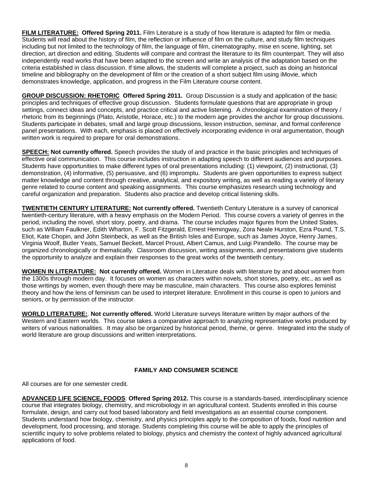**FILM LITERATURE: Offered Spring 2011.** Film Literature is a study of how literature is adapted for film or media. Students will read about the history of film, the reflection or influence of film on the culture, and study film techniques including but not limited to the technology of film, the language of film, cinematography, mise en scene, lighting, set direction, art direction and editing. Students will compare and contrast the literature to its film counterpart. They will also independently read works that have been adapted to the screen and write an analysis of the adaptation based on the criteria established in class discussion. If time allows, the students will complete a project, such as doing an historical timeline and bibliography on the development of film or the creation of a short subject film using iMovie, which demonstrates knowledge, application, and progress in the Film Literature course content.

**GROUP DISCUSSION: RHETORIC Offered Spring 2011.** Group Discussion is a study and application of the basic principles and techniques of effective group discussion. Students formulate questions that are appropriate in group settings, connect ideas and concepts, and practice critical and active listening. A chronological examination of theory / rhetoric from its beginnings (Plato, Aristotle, Horace, etc.) to the modern age provides the anchor for group discussions. Students participate in debates, small and large group discussions, lesson instruction, seminar, and formal conference panel presentations. With each, emphasis is placed on effectively incorporating evidence in oral argumentation, though written work is required to prepare for oral demonstrations.

**SPEECH: Not currently offered.** Speech provides the study of and practice in the basic principles and techniques of effective oral communication. This course includes instruction in adapting speech to different audiences and purposes. Students have opportunities to make different types of oral presentations including: (1) viewpoint, (2) instructional, (3) demonstration, (4) informative, (5) persuasive, and (6) impromptu. Students are given opportunities to express subject matter knowledge and content through creative, analytical, and expository writing, as well as reading a variety of literary genre related to course content and speaking assignments. This course emphasizes research using technology and careful organization and preparation. Students also practice and develop critical listening skills.

**TWENTIETH CENTURY LITERATURE: Not currently offered.** Twentieth Century Literature is a survey of canonical twentieth-century literature, with a heavy emphasis on the Modern Period. This course covers a variety of genres in the period, including the novel, short story, poetry, and drama. The course includes major figures from the United States, such as William Faulkner, Edith Wharton, F. Scott Fitzgerald, Ernest Hemingway, Zora Neale Hurston, Ezra Pound, T.S. Eliot, Kate Chopin, and John Steinbeck, as well as the British Isles and Europe, such as James Joyce, Henry James, Virginia Woolf, Butler Yeats, Samuel Beckett, Marcel Proust, Albert Camus, and Luigi Pirandello. The course may be organized chronologically or thematically. Classroom discussion, writing assignments, and presentations give students the opportunity to analyze and explain their responses to the great works of the twentieth century.

**WOMEN IN LITERATURE: Not currently offered.** Women in Literature deals with literature by and about women from the 1300s through modern day. It focuses on women as characters within novels, short stories, poetry, etc., as well as those writings by women, even though there may be masculine, main characters. This course also explores feminist theory and how the lens of feminism can be used to interpret literature. Enrollment in this course is open to juniors and seniors, or by permission of the instructor.

**WORLD LITERATURE:**. **Not currently offered.** World Literature surveys literature written by major authors of the Western and Eastern worlds. This course takes a comparative approach to analyzing representative works produced by writers of various nationalities. It may also be organized by historical period, theme, or genre. Integrated into the study of world literature are group discussions and written interpretations.

### **FAMILY AND CONSUMER SCIENCE**

All courses are for one semester credit.

**ADVANCED LIFE SCIENCE, FOODS**: **Offered Spring 2012.** This course is a standards-based, interdisciplinary science course that integrates biology, chemistry, and microbiology in an agricultural context. Students enrolled in this course formulate, design, and carry out food based laboratory and field investigations as an essential course component. Students understand how biology, chemistry, and physics principles apply to the composition of foods, food nutrition and development, food processing, and storage. Students completing this course will be able to apply the principles of scientific inquiry to solve problems related to biology, physics and chemistry the context of highly advanced agricultural applications of food.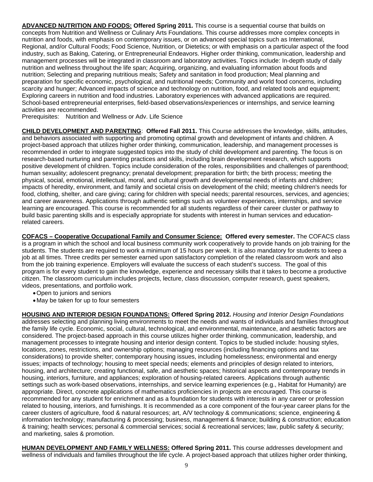**ADVANCED NUTRITION AND FOODS: Offered Spring 2011.** This course is a sequential course that builds on concepts from Nutrition and Wellness or Culinary Arts Foundations. This course addresses more complex concepts in nutrition and foods, with emphasis on contemporary issues, or on advanced special topics such as International, Regional, and/or Cultural Foods; Food Science, Nutrition, or Dietetics; or with emphasis on a particular aspect of the food industry, such as Baking, Catering, or Entrepreneurial Endeavors. Higher order thinking, communication, leadership and management processes will be integrated in classroom and laboratory activities. Topics include: In-depth study of daily nutrition and wellness throughout the life span; Acquiring, organizing, and evaluating information about foods and nutrition; Selecting and preparing nutritious meals; Safety and sanitation in food production; Meal planning and preparation for specific economic, psychological, and nutritional needs; Community and world food concerns, including scarcity and hunger; Advanced impacts of science and technology on nutrition, food, and related tools and equipment; Exploring careers in nutrition and food industries. Laboratory experiences with advanced applications are required. School-based entrepreneurial enterprises, field-based observations/experiences or internships, and service learning activities are recommended.

Prerequisites: Nutrition and Wellness or Adv. Life Science

**CHILD DEVELOPMENT AND PARENTING**: **Offered Fall 2011.** This Course addresses the knowledge, skills, attitudes, and behaviors associated with supporting and promoting optimal growth and development of infants and children. A project-based approach that utilizes higher order thinking, communication, leadership, and management processes is recommended in order to integrate suggested topics into the study of child development and parenting. The focus is on research-based nurturing and parenting practices and skills, including brain development research, which supports positive development of children. Topics include consideration of the roles, responsibilities and challenges of parenthood; human sexuality; adolescent pregnancy; prenatal development; preparation for birth; the birth process; meeting the physical, social, emotional, intellectual, moral, and cultural growth and developmental needs of infants and children; impacts of heredity, environment, and family and societal crisis on development of the child; meeting children's needs for food, clothing, shelter, and care giving; caring for children with special needs; parental resources, services, and agencies; and career awareness. Applications through authentic settings such as volunteer experiences, internships, and service learning are encouraged. This course is recommended for all students regardless of their career cluster or pathway to build basic parenting skills and is especially appropriate for students with interest in human services and educationrelated careers.

**COFACS – Cooperative Occupational Family and Consumer Science: Offered every semester.** The COFACS class is a program in which the school and local business community work cooperatively to provide hands on job training for the students. The students are required to work a minimum of 15 hours per week. It is also mandatory for students to keep a job at all times. Three credits per semester earned upon satisfactory completion of the related classroom work and also from the job training experience. Employers will evaluate the success of each student's success. The goal of this program is for every student to gain the knowledge, experience and necessary skills that it takes to become a productive citizen. The classroom curriculum includes projects, lecture, class discussion, computer research, guest speakers, videos, presentations, and portfolio work.

- Open to juniors and seniors
- May be taken for up to four semesters

**HOUSING AND INTERIOR DESIGN FOUNDATIONS: Offered Spring 2012.** *Housing and Interior Design Foundations* addresses selecting and planning living environments to meet the needs and wants of individuals and families throughout the family life cycle. Economic, social, cultural, technological, and environmental, maintenance, and aesthetic factors are considered. The project-based approach in this course utilizes higher order thinking, communication, leadership, and management processes to integrate housing and interior design content. Topics to be studied include: housing styles, locations, zones, restrictions, and ownership options; managing resources (including financing options and tax considerations) to provide shelter; contemporary housing issues, including homelessness; environmental and energy issues; impacts of technology; housing to meet special needs; elements and principles of design related to interiors, housing, and architecture; creating functional, safe, and aesthetic spaces; historical aspects and contemporary trends in housing, interiors, furniture, and appliances; exploration of housing-related careers. Applications through authentic settings such as work-based observations, internships, and service learning experiences (e.g., Habitat for Humanity) are appropriate. Direct, concrete applications of mathematics proficiencies in projects are encouraged. This course is recommended for any student for enrichment and as a foundation for students with interests in any career or profession related to housing, interiors, and furnishings. It is recommended as a core component of the four-year career plans for the career clusters of agriculture, food & natural resources; art, A/V technology & communications; science, engineering & information technology; manufacturing & processing; business, management & finance; building & construction; education & training; health services; personal & commercial services; social & recreational services; law, public safety & security; and marketing, sales & promotion.

**HUMAN DEVELOPMENT AND FAMILY WELLNESS: Offered Spring 2011.** This course addresses development and wellness of individuals and families throughout the life cycle. A project-based approach that utilizes higher order thinking,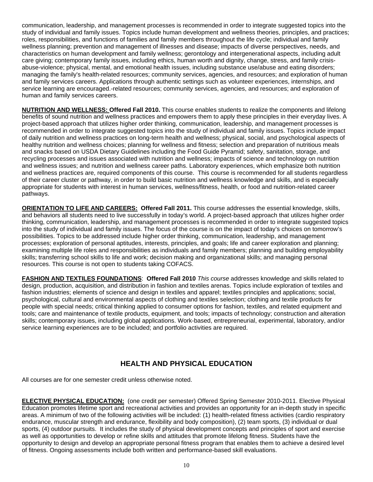communication, leadership, and management processes is recommended in order to integrate suggested topics into the study of individual and family issues. Topics include human development and wellness theories, principles, and practices; roles, responsibilities, and functions of families and family members throughout the life cycle; individual and family wellness planning; prevention and management of illnesses and disease; impacts of diverse perspectives, needs, and characteristics on human development and family wellness; gerontology and intergenerational aspects, including adult care giving; contemporary family issues, including ethics, human worth and dignity, change, stress, and family crisisabuse-violence; physical, mental, and emotional health issues, including substance use/abuse and eating disorders; managing the family's health-related resources; community services, agencies, and resources; and exploration of human and family services careers. Applications through authentic settings such as volunteer experiences, internships, and service learning are encouraged.-related resources; community services, agencies, and resources; and exploration of human and family services careers.

**NUTRITION AND WELLNESS: Offered Fall 2010.** This course enables students to realize the components and lifelong benefits of sound nutrition and wellness practices and empowers them to apply these principles in their everyday lives. A project-based approach that utilizes higher order thinking, communication, leadership, and management processes is recommended in order to integrate suggested topics into the study of individual and family issues. Topics include impact of daily nutrition and wellness practices on long-term health and wellness; physical, social, and psychological aspects of healthy nutrition and wellness choices; planning for wellness and fitness; selection and preparation of nutritious meals and snacks based on USDA Dietary Guidelines including the Food Guide Pyramid; safety, sanitation, storage, and recycling processes and issues associated with nutrition and wellness; impacts of science and technology on nutrition and wellness issues; and nutrition and wellness career paths. Laboratory experiences, which emphasize both nutrition and wellness practices are, required components of this course. This course is recommended for all students regardless of their career cluster or pathway, in order to build basic nutrition and wellness knowledge and skills, and is especially appropriate for students with interest in human services, wellness/fitness, health, or food and nutrition-related career pathways.

**ORIENTATION TO LIFE AND CAREERS: Offered Fall 2011.** This course addresses the essential knowledge, skills, and behaviors all students need to live successfully in today's world. A project-based approach that utilizes higher order thinking, communication, leadership, and management processes is recommended in order to integrate suggested topics into the study of individual and family issues. The focus of the course is on the impact of today's choices on tomorrow's possibilities. Topics to be addressed include higher order thinking, communication, leadership, and management processes; exploration of personal aptitudes, interests, principles, and goals; life and career exploration and planning; examining multiple life roles and responsibilities as individuals and family members; planning and building employability skills; transferring school skills to life and work; decision making and organizational skills; and managing personal resources. This course is not open to students taking COFACS.

**FASHION AND TEXTILES FOUNDATIONS**: **Offered Fall 2010** *This course* addresses knowledge and skills related to design, production, acquisition, and distribution in fashion and textiles arenas. Topics include exploration of textiles and fashion industries; elements of science and design in textiles and apparel; textiles principles and applications; social, psychological, cultural and environmental aspects of clothing and textiles selection; clothing and textile products for people with special needs; critical thinking applied to consumer options for fashion, textiles, and related equipment and tools; care and maintenance of textile products, equipment, and tools; impacts of technology; construction and alteration skills; contemporary issues, including global applications. Work-based, entrepreneurial, experimental, laboratory, and/or service learning experiences are to be included; and portfolio activities are required.

# **HEALTH AND PHYSICAL EDUCATION**

All courses are for one semester credit unless otherwise noted.

**ELECTIVE PHYSICAL EDUCATION:** (one credit per semester) Offered Spring Semester 2010-2011. Elective Physical Education promotes lifetime sport and recreational activities and provides an opportunity for an in-depth study in specific areas. A minimum of two of the following activities will be included: (1) health-related fitness activities (cardio respiratory endurance, muscular strength and endurance, flexibility and body composition), (2) team sports, (3) individual or dual sports, (4) outdoor pursuits. It includes the study of physical development concepts and principles of sport and exercise as well as opportunities to develop or refine skills and attitudes that promote lifelong fitness. Students have the opportunity to design and develop an appropriate personal fitness program that enables them to achieve a desired level of fitness. Ongoing assessments include both written and performance-based skill evaluations.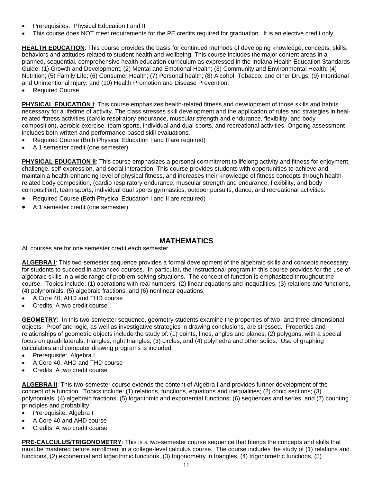- Prerequisites: Physical Education I and II
- This course does NOT meet requirements for the PE credits required for graduation. It is an elective credit only.

**HEALTH EDUCATION**: This course provides the basis for continued methods of developing knowledge, concepts, skills, behaviors and attitudes related to student health and wellbeing. This course includes the major content areas in a planned, sequential, comprehensive health education curriculum as expressed in the Indiana Health Education Standards Guide: (1) Growth and Development; (2) Mental and Emotional Health; (3) Community and Environmental Health; (4) Nutrition; (5) Family Life; (6) Consumer Health; (7) Personal health; (8) Alcohol, Tobacco, and other Drugs; (9) Intentional and Unintentional Injury; and (10) Health Promotion and Disease Prevention.

• Required Course

**PHYSICAL EDUCATION I**: This course emphasizes health-related fitness and development of those skills and habits necessary for a lifetime of activity. The class stresses skill development and the application of rules and strategies in healrelated fitness activities (cardio respiratory endurance, muscular strength and endurance, flexibility, and body composition), aerobic exercise, team sports, individual and dual sports, and recreational activities. Ongoing assessment includes both written and performance-based skill evaluations.

- Required Course (Both Physical Education I and II are required)
- A 1 semester credit (one semester)

**PHYSICAL EDUCATION II:** This course emphasizes a personal commitment to lifelong activity and fitness for enjoyment, challenge, self-expression, and social interaction. This course provides students with opportunities to achieve and maintain a health-enhancing level of physical fitness, and increases their knowledge of fitness concepts through healthrelated body composition, (cardio respiratory endurance, muscular strength and endurance, flexibility, and body composition), team sports, individual dual sports gymnastics, outdoor pursuits, dance, and recreational activities.

- Required Course (Both Physical Education I and II are required)
- A 1 semester credit (one semester)

# **MATHEMATICS**

All courses are for one semester credit each semester.

**ALGEBRA I**: This two-semester sequence provides a formal development of the algebraic skills and concepts necessary for students to succeed in advanced courses. In particular, the instructional program in this course provides for the use of algebraic skills in a wide range of problem-solving situations. The concept of function is emphasized throughout the course. Topics include: (1) operations with real numbers, (2) linear equations and inequalities, (3) relations and functions, (4) polynomials, (5) algebraic fractions, and (6) nonlinear equations.

- A Core 40, AHD and THD course
- Credits: A two credit course

**GEOMETRY**: In this two-semester sequence, geometry students examine the properties of two- and three-dimensional objects. Proof and logic, as well as investigative strategies in drawing conclusions, are stressed. Properties and relationships of geometric objects include the study of: (1) points, lines, angles and planes; (2) polygons, with a special focus on quadrilaterals, triangles, right triangles; (3) circles; and (4) polyhedra and other solids. Use of graphing calculators and computer drawing programs is included.

- Prerequisite: Algebra I
- A Core 40, AHD and THD course
- Credits: A two credit course

ALGEBRA II: This two-semester course extends the content of Algebra I and provides further development of the concept of a function. Topics include: (1) relations, functions, equations and inequalities; (2) conic sections; (3) polynomials; (4) algebraic fractions; (5) logarithmic and exponential functions; (6) sequences and series; and (7) counting principles and probability.

- Prerequisite: Algebra I
- A Core 40 and AHD course
- Credits: A two credit course

**PRE-CALCULUS/TRIGONOMETRY**: This is a two-semester course sequence that blends the concepts and skills that must be mastered before enrollment in a college-level calculus course. The course includes the study of (1) relations and functions, (2) exponential and logarithmic functions, (3) trigonometry in triangles, (4) trigonometric functions, (5)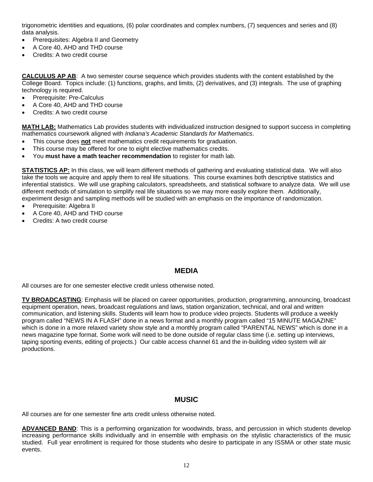trigonometric identities and equations, (6) polar coordinates and complex numbers, (7) sequences and series and (8) data analysis.

- Prerequisites: Algebra II and Geometry
- A Core 40, AHD and THD course
- Credits: A two credit course

**CALCULUS AP AB**: A two semester course sequence which provides students with the content established by the College Board. Topics include: (1) functions, graphs, and limits, (2) derivatives, and (3) integrals. The use of graphing technology is required.

- Prerequisite: Pre-Calculus
- A Core 40, AHD and THD course
- Credits: A two credit course

**MATH LAB:** Mathematics Lab provides students with individualized instruction designed to support success in completing mathematics coursework aligned with *Indiana's Academic Standards for Mathematics*.

- This course does **not** meet mathematics credit requirements for graduation.
- This course may be offered for one to eight elective mathematics credits.
- You **must have a math teacher recommendation** to register for math lab.

**STATISTICS AP:** In this class, we will learn different methods of gathering and evaluating statistical data. We will also take the tools we acquire and apply them to real life situations. This course examines both descriptive statistics and inferential statistics. We will use graphing calculators, spreadsheets, and statistical software to analyze data. We will use different methods of simulation to simplify real life situations so we may more easily explore them. Additionally, experiment design and sampling methods will be studied with an emphasis on the importance of randomization.

- Prerequisite: Algebra II
- A Core 40, AHD and THD course
- Credits: A two credit course

## **MEDIA**

All courses are for one semester elective credit unless otherwise noted.

**TV BROADCASTING**: Emphasis will be placed on career opportunities, production, programming, announcing, broadcast equipment operation, news, broadcast regulations and laws, station organization, technical, and oral and written communication, and listening skills. Students will learn how to produce video projects. Students will produce a weekly program called "NEWS IN A FLASH" done in a news format and a monthly program called "15 MINUTE MAGAZINE" which is done in a more relaxed variety show style and a monthly program called "PARENTAL NEWS" which is done in a news magazine type format. Some work will need to be done outside of regular class time (i.e. setting up interviews, taping sporting events, editing of projects.) Our cable access channel 61 and the in-building video system will air productions.

## **MUSIC**

All courses are for one semester fine arts credit unless otherwise noted.

**ADVANCED BAND**: This is a performing organization for woodwinds, brass, and percussion in which students develop increasing performance skills individually and in ensemble with emphasis on the stylistic characteristics of the music studied. Full year enrollment is required for those students who desire to participate in any ISSMA or other state music events.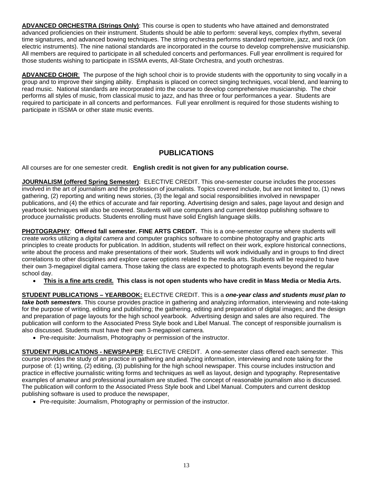**ADVANCED ORCHESTRA (Strings Only)**: This course is open to students who have attained and demonstrated advanced proficiencies on their instrument. Students should be able to perform: several keys, complex rhythm, several time signatures, and advanced bowing techniques. The string orchestra performs standard repertoire, jazz, and rock (on electric instruments). The nine national standards are incorporated in the course to develop comprehensive musicianship. All members are required to participate in all scheduled concerts and performances. Full year enrollment is required for those students wishing to participate in ISSMA events, All-State Orchestra, and youth orchestras.

**ADVANCED CHOIR**: The purpose of the high school choir is to provide students with the opportunity to sing vocally in a group and to improve their singing ability. Emphasis is placed on correct singing techniques, vocal blend, and learning to read music. National standards are incorporated into the course to develop comprehensive musicianship. The choir performs all styles of music, from classical music to jazz, and has three or four performances a year. Students are required to participate in all concerts and performances. Full year enrollment is required for those students wishing to participate in ISSMA or other state music events.

# **PUBLICATIONS**

All courses are for one semester credit. **English credit is not given for any publication course.** 

**JOURNALISM (offered Spring Semester)**: ELECTIVE CREDIT. This one-semester course includes the processes involved in the art of journalism and the profession of journalists. Topics covered include, but are not limited to, (1) news gathering, (2) reporting and writing news stories, (3) the legal and social responsibilities involved in newspaper publications, and (4) the ethics of accurate and fair reporting. Advertising design and sales, page layout and design and yearbook techniques will also be covered. Students will use computers and current desktop publishing software to produce journalistic products. Students enrolling must have solid English language skills.

**PHOTOGRAPHY**: **Offered fall semester. FINE ARTS CREDIT.** This is a one-semester course where students will create works utilizing a *digital camera* and computer graphics software to combine photography and graphic arts principles to create products for publication. In addition, students will reflect on their work, explore historical connections, write about the process and make presentations of their work. Students will work individually and in groups to find direct correlations to other disciplines and explore career options related to the media arts. Students will be required to have their own 3-megapixel digital camera. Those taking the class are expected to photograph events beyond the regular school day.

• **This is a fine arts credit. This class is not open students who have credit in Mass Media or Media Arts.** 

**STUDENT PUBLICATIONS – YEARBOOK:** ELECTIVE CREDIT. This is a *one-year class and students must plan to take both semesters*. This course provides practice in gathering and analyzing information, interviewing and note-taking for the purpose of writing, editing and publishing; the gathering, editing and preparation of digital images; and the design and preparation of page layouts for the high school yearbook. Advertising design and sales are also required. The publication will conform to the Associated Press Style book and Libel Manual. The concept of responsible journalism is also discussed. Students must have their own 3-megapixel camera.

• Pre-requisite: Journalism, Photography or permission of the instructor.

**STUDENT PUBLICATIONS - NEWSPAPER**: ELECTIVE CREDIT. A one-semester class offered each semester. This course provides the study of an practice in gathering and analyzing information, interviewing and note taking for the purpose of: (1) writing, (2) editing, (3) publishing for the high school newspaper. This course includes instruction and practice in effective journalistic writing forms and techniques as well as layout, design and typography. Representative examples of amateur and professional journalism are studied. The concept of reasonable journalism also is discussed. The publication will conform to the Associated Press Style book and Libel Manual. Computers and current desktop publishing software is used to produce the newspaper,

• Pre-requisite: Journalism, Photography or permission of the instructor.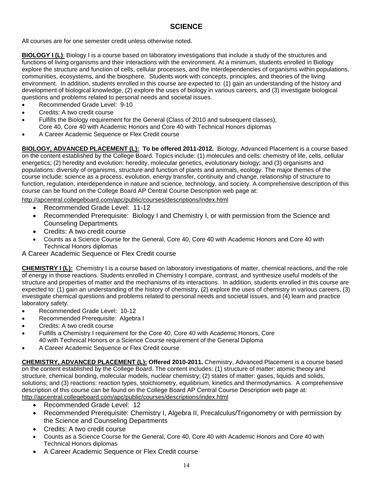# **SCIENCE**

All courses are for one semester credit unless otherwise noted.

**BIOLOGY I (L)**: Biology I is a course based on laboratory investigations that include a study of the structures and functions of living organisms and their interactions with the environment. At a minimum, students enrolled in Biology explore the structure and function of cells, cellular processes, and the interdependencies of organisms within populations, communities, ecosystems, and the biosphere. Students work with concepts, principles, and theories of the living environment. In addition, students enrolled in this course are expected to: (1) gain an understanding of the history and development of biological knowledge, (2) explore the uses of biology in various careers, and (3) investigate biological questions and problems related to personal needs and societal issues.

- Recommended Grade Level: 9-10
- Credits: A two credit course
- Fulfills the Biology requirement for the General (Class of 2010 and subsequent classes), Core 40, Core 40 with Academic Honors and Core 40 with Technical Honors diplomas
- A Career Academic Sequence or Flex Credit course

**BIOLOGY, ADVANCED PLACEMENT (L): To be offered 2011-2012.** Biology, Advanced Placement is a course based on the content established by the College Board. Topics include: (1) molecules and cells: chemistry of life, cells, cellular energetics; (2) heredity and evolution: heredity, molecular genetics, evolutionary biology; and (3) organisms and populations: diversity of organisms, structure and function of plants and animals, ecology. The major themes of the course include: science as a process, evolution, energy transfer, continuity and change, relationship of structure to function, regulation, interdependence in nature and science, technology, and society. A comprehensive description of this course can be found on the College Board AP Central Course Description web page at:

http://apcentral.collegeboard.com/apc/public/courses/descriptions/index.html

- Recommended Grade Level: 11-12
- Recommended Prerequisite: Biology I and Chemistry I, or with permission from the Science and Counseling Departments
- Credits: A two credit course
- Counts as a Science Course for the General, Core 40, Core 40 with Academic Honors and Core 40 with Technical Honors diplomas

A Career Academic Sequence or Flex Credit course

**CHEMISTRY I (L):** Chemistry I is a course based on laboratory investigations of matter, chemical reactions, and the role of energy in those reactions. Students enrolled in Chemistry I compare, contrast, and synthesize useful models of the structure and properties of matter and the mechanisms of its interactions. In addition, students enrolled in this course are expected to: (1) gain an understanding of the history of chemistry, (2) explore the uses of chemistry in various careers, (3) investigate chemical questions and problems related to personal needs and societal issues, and (4) learn and practice laboratory safety.

- Recommended Grade Level: 10-12
- Recommended Prerequisite: Algebra I
- Credits: A two credit course
- Fulfills a Chemistry I requirement for the Core 40, Core 40 with Academic Honors, Core 40 with Technical Honors or a Science Course requirement of the General Diploma
- A Career Academic Sequence or Flex Credit course

**CHEMISTRY, ADVANCED PLACEMENT (L): Offered 2010-2011.** Chemistry, Advanced Placement is a course based on the content established by the College Board. The content includes: (1) structure of matter: atomic theory and structure, chemical bonding, molecular models, nuclear chemistry; (2) states of matter: gases, liquids and solids, solutions; and (3) reactions: reaction types, stoichiometry, equilibrium, kinetics and thermodynamics. A comprehensive description of this course can be found on the College Board AP Central Course Description web page at: http://apcentral.collegeboard.com/apc/public/courses/descriptions/index.html

- Recommended Grade Level: 12
- Recommended Prerequisite: Chemistry I, Algebra II, Precalculus/Trigonometry or with permission by the Science and Counseling Departments
- Credits: A two credit course
- Counts as a Science Course for the General, Core 40, Core 40 with Academic Honors and Core 40 with Technical Honors diplomas
- A Career Academic Sequence or Flex Credit course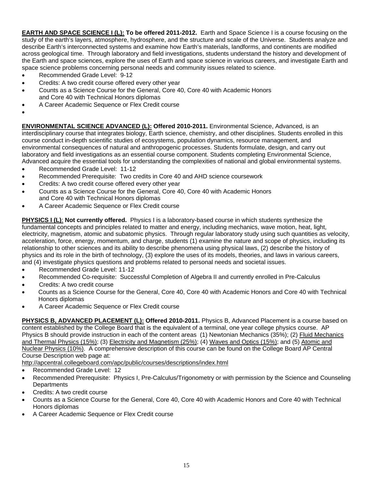**EARTH AND SPACE SCIENCE I (L): To be offered 2011-2012.** Earth and Space Science I is a course focusing on the study of the earth's layers, atmosphere, hydrosphere, and the structure and scale of the Universe. Students analyze and describe Earth's interconnected systems and examine how Earth's materials, landforms, and continents are modified across geological time. Through laboratory and field investigations, students understand the history and development of the Earth and space sciences, explore the uses of Earth and space science in various careers, and investigate Earth and space science problems concerning personal needs and community issues related to science.

- Recommended Grade Level: 9-12
- Credits: A two credit course offered every other year
- Counts as a Science Course for the General, Core 40, Core 40 with Academic Honors and Core 40 with Technical Honors diplomas
- A Career Academic Sequence or Flex Credit course
- •

**ENVIRONMENTAL SCIENCE ADVANCED (L): Offered 2010-2011.** Environmental Science, Advanced, is an interdisciplinary course that integrates biology, Earth science, chemistry, and other disciplines. Students enrolled in this course conduct in-depth scientific studies of ecosystems, population dynamics, resource management, and environmental consequences of natural and anthropogenic processes. Students formulate, design, and carry out laboratory and field investigations as an essential course component. Students completing Environmental Science, Advanced acquire the essential tools for understanding the complexities of national and global environmental systems.

- Recommended Grade Level: 11-12
- Recommended Prerequisite: Two credits in Core 40 and AHD science coursework
- Credits: A two credit course offered every other year
- Counts as a Science Course for the General, Core 40, Core 40 with Academic Honors and Core 40 with Technical Honors diplomas
- A Career Academic Sequence or Flex Credit course

**PHYSICS I (L)**: **Not currently offered.** Physics I is a laboratory-based course in which students synthesize the fundamental concepts and principles related to matter and energy, including mechanics, wave motion, heat, light, electricity, magnetism, atomic and subatomic physics. Through regular laboratory study using such quantities as velocity, acceleration, force, energy, momentum, and charge, students (1) examine the nature and scope of physics, including its relationship to other sciences and its ability to describe phenomena using physical laws, (2) describe the history of physics and its role in the birth of technology, (3) explore the uses of its models, theories, and laws in various careers, and (4) investigate physics questions and problems related to personal needs and societal issues.

- Recommended Grade Level: 11-12
- Recommended Co-requisite: Successful Completion of Algebra II and currently enrolled in Pre-Calculus
- Credits: A two credit course
- Counts as a Science Course for the General, Core 40, Core 40 with Academic Honors and Core 40 with Technical Honors diplomas
- A Career Academic Sequence or Flex Credit course

**PHYSICS B, ADVANCED PLACEMENT (L): Offered 2010-2011.** Physics B, Advanced Placement is a course based on content established by the College Board that is the equivalent of a terminal, one year college physics course. AP Physics B should provide instruction in each of the content areas (1) Newtonian Mechanics (35%); (2) Fluid Mechanics and Thermal Physics (15%); (3) Electricity and Magnetism (25%); (4) Waves and Optics (15%); and (5) Atomic and Nuclear Physics (10%). A comprehensive description of this course can be found on the College Board AP Central Course Description web page at:

http://apcentral.collegeboard.com/apc/public/courses/descriptions/index.html

- Recommended Grade Level: 12
- Recommended Prerequisite: Physics I, Pre-Calculus/Trigonometry or with permission by the Science and Counseling **Departments**
- Credits: A two credit course
- Counts as a Science Course for the General, Core 40, Core 40 with Academic Honors and Core 40 with Technical Honors diplomas
- A Career Academic Sequence or Flex Credit course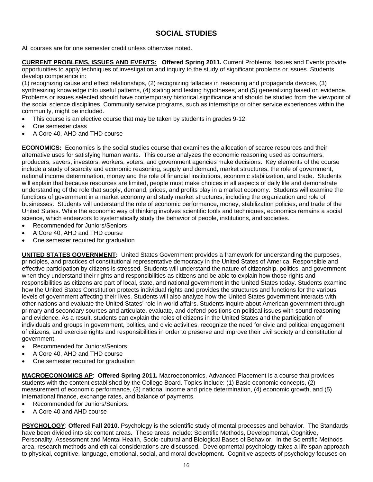# **SOCIAL STUDIES**

All courses are for one semester credit unless otherwise noted.

**CURRENT PROBLEMS, ISSUES AND EVENTS: Offered Spring 2011.** Current Problems, Issues and Events provide opportunities to apply techniques of investigation and inquiry to the study of significant problems or issues. Students develop competence in:

(1) recognizing cause and effect relationships, (2) recognizing fallacies in reasoning and propaganda devices, (3) synthesizing knowledge into useful patterns, (4) stating and testing hypotheses, and (5) generalizing based on evidence. Problems or issues selected should have contemporary historical significance and should be studied from the viewpoint of the social science disciplines. Community service programs, such as internships or other service experiences within the community, might be included.

- This course is an elective course that may be taken by students in grades 9-12.
- One semester class
- A Core 40, AHD and THD course

**ECONOMICS:**Economics is the social studies course that examines the allocation of scarce resources and their alternative uses for satisfying human wants. This course analyzes the economic reasoning used as consumers, producers, savers, investors, workers, voters, and government agencies make decisions. Key elements of the course include a study of scarcity and economic reasoning, supply and demand, market structures, the role of government, national income determination, money and the role of financial institutions, economic stabilization, and trade. Students will explain that because resources are limited, people must make choices in all aspects of daily life and demonstrate understanding of the role that supply, demand, prices, and profits play in a market economy. Students will examine the functions of government in a market economy and study market structures, including the organization and role of businesses. Students will understand the role of economic performance, money, stabilization policies, and trade of the United States. While the economic way of thinking involves scientific tools and techniques, economics remains a social science, which endeavors to systematically study the behavior of people, institutions, and societies.

- Recommended for Juniors/Seniors
- A Core 40, AHD and THD course
- One semester required for graduation

**UNITED STATES GOVERNMENT:** United States Government provides a framework for understanding the purposes, principles, and practices of constitutional representative democracy in the United States of America. Responsible and effective participation by citizens is stressed. Students will understand the nature of citizenship, politics, and government when they understand their rights and responsibilities as citizens and be able to explain how those rights and responsibilities as citizens are part of local, state, and national government in the United States today. Students examine how the United States Constitution protects individual rights and provides the structures and functions for the various levels of government affecting their lives. Students will also analyze how the United States government interacts with other nations and evaluate the United States' role in world affairs. Students inquire about American government through primary and secondary sources and articulate, evaluate, and defend positions on political issues with sound reasoning and evidence. As a result, students can explain the roles of citizens in the United States and the participation of individuals and groups in government, politics, and civic activities, recognize the need for civic and political engagement of citizens, and exercise rights and responsibilities in order to preserve and improve their civil society and constitutional government.

- Recommended for Juniors/Seniors
- A Core 40, AHD and THD course
- One semester required for graduation

**MACROECONOMICS AP**: **Offered Spring 2011.** Macroeconomics, Advanced Placement is a course that provides students with the content established by the College Board. Topics include: (1) Basic economic concepts, (2) measurement of economic performance, (3) national income and price determination, (4) economic growth, and (5) international finance, exchange rates, and balance of payments.

- Recommended for Juniors/Seniors.
- A Core 40 and AHD course

**PSYCHOLOGY**: **Offered Fall 2010.** Psychology is the scientific study of mental processes and behavior. The Standards have been divided into six content areas. These areas include: Scientific Methods, Developmental, Cognitive, Personality, Assessment and Mental Health, Socio-cultural and Biological Bases of Behavior. In the Scientific Methods area, research methods and ethical considerations are discussed. Developmental psychology takes a life span approach to physical, cognitive, language, emotional, social, and moral development. Cognitive aspects of psychology focuses on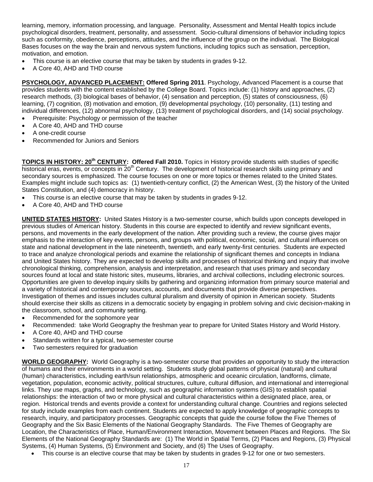learning, memory, information processing, and language. Personality, Assessment and Mental Health topics include psychological disorders, treatment, personality, and assessment. Socio-cultural dimensions of behavior including topics such as conformity, obedience, perceptions, attitudes, and the influence of the group on the individual. The Biological Bases focuses on the way the brain and nervous system functions, including topics such as sensation, perception, motivation, and emotion.

- This course is an elective course that may be taken by students in grades 9-12.
- A Core 40, AHD and THD course

**PSYCHOLOGY, ADVANCED PLACEMENT: Offered Spring 2011**. Psychology, Advanced Placement is a course that provides students with the content established by the College Board. Topics include: (1) history and approaches, (2) research methods, (3) biological bases of behavior, (4) sensation and perception, (5) states of consciousness, (6) learning, (7) cognition, (8) motivation and emotion, (9) developmental psychology, (10) personality, (11) testing and individual differences, (12) abnormal psychology, (13) treatment of psychological disorders, and (14) social psychology.

- Prerequisite: Psychology or permission of the teacher
- A Core 40, AHD and THD course
- A one-credit course
- Recommended for Juniors and Seniors

**TOPICS IN HISTORY: 20th CENTURY: Offered Fall 2010.** Topics in History provide students with studies of specific historical eras, events, or concepts in 20<sup>th</sup> Century. The development of historical research skills using primary and secondary sources is emphasized. The course focuses on one or more topics or themes related to the United States. Examples might include such topics as: (1) twentieth-century conflict, (2) the American West, (3) the history of the United States Constitution, and (4) democracy in history.

- This course is an elective course that may be taken by students in grades 9-12.
- A Core 40, AHD and THD course

**UNITED STATES HISTORY:** United States History is a two-semester course, which builds upon concepts developed in previous studies of American history. Students in this course are expected to identify and review significant events, persons, and movements in the early development of the nation. After providing such a review, the course gives major emphasis to the interaction of key events, persons, and groups with political, economic, social, and cultural influences on state and national development in the late nineteenth, twentieth, and early twenty-first centuries. Students are expected to trace and analyze chronological periods and examine the relationship of significant themes and concepts in Indiana and United States history. They are expected to develop skills and processes of historical thinking and inquiry that involve chronological thinking, comprehension, analysis and interpretation, and research that uses primary and secondary sources found at local and state historic sites, museums, libraries, and archival collections, including electronic sources. Opportunities are given to develop inquiry skills by gathering and organizing information from primary source material and a variety of historical and contemporary sources, accounts, and documents that provide diverse perspectives. Investigation of themes and issues includes cultural pluralism and diversity of opinion in American society. Students should exercise their skills as citizens in a democratic society by engaging in problem solving and civic decision-making in the classroom, school, and community setting.

- Recommended for the sophomore year
- Recommended: take World Geography the freshman year to prepare for United States History and World History.
- A Core 40, AHD and THD course
- Standards written for a typical, two-semester course
- Two semesters required for graduation

**WORLD GEOGRAPHY:** World Geography is a two-semester course that provides an opportunity to study the interaction of humans and their environments in a world setting. Students study global patterns of physical (natural) and cultural (human) characteristics, including earth/sun relationships, atmospheric and oceanic circulation, landforms, climate, vegetation, population, economic activity, political structures, culture, cultural diffusion, and international and interregional links. They use maps, graphs, and technology, such as geographic information systems (GIS) to establish spatial relationships: the interaction of two or more physical and cultural characteristics within a designated place, area, or region. Historical trends and events provide a context for understanding cultural change. Countries and regions selected for study include examples from each continent. Students are expected to apply knowledge of geographic concepts to research, inquiry, and participatory processes. Geographic concepts that guide the course follow the Five Themes of Geography and the Six Basic Elements of the National Geography Standards. The Five Themes of Geography are Location, the Characteristics of Place, Human/Environment Interaction, Movement between Places and Regions. The Six Elements of the National Geography Standards are: (1) The World in Spatial Terms, (2) Places and Regions, (3) Physical Systems, (4) Human Systems, (5) Environment and Society, and (6) The Uses of Geography.

This course is an elective course that may be taken by students in grades 9-12 for one or two semesters.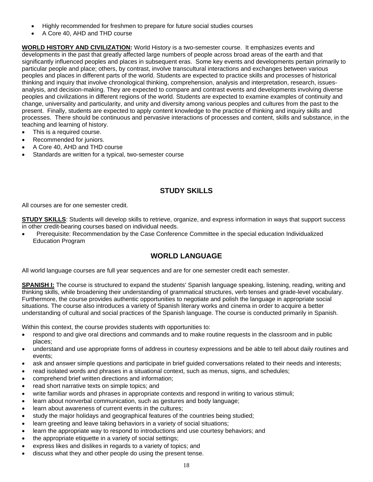- Highly recommended for freshmen to prepare for future social studies courses
- A Core 40, AHD and THD course

**WORLD HISTORY AND CIVILIZATION:** World History is a two-semester course. It emphasizes events and developments in the past that greatly affected large numbers of people across broad areas of the earth and that significantly influenced peoples and places in subsequent eras. Some key events and developments pertain primarily to particular people and place; others, by contrast, involve transcultural interactions and exchanges between various peoples and places in different parts of the world. Students are expected to practice skills and processes of historical thinking and inquiry that involve chronological thinking, comprehension, analysis and interpretation, research, issuesanalysis, and decision-making. They are expected to compare and contrast events and developments involving diverse peoples and civilizations in different regions of the world. Students are expected to examine examples of continuity and change, universality and particularity, and unity and diversity among various peoples and cultures from the past to the present. Finally, students are expected to apply content knowledge to the practice of thinking and inquiry skills and processes. There should be continuous and pervasive interactions of processes and content, skills and substance, in the teaching and learning of history.

- This is a required course.
- Recommended for juniors.
- A Core 40, AHD and THD course
- Standards are written for a typical, two-semester course

# **STUDY SKILLS**

All courses are for one semester credit.

**STUDY SKILLS**: Students will develop skills to retrieve, organize, and express information in ways that support success in other credit-bearing courses based on individual needs.

• Prerequisite: Recommendation by the Case Conference Committee in the special education Individualized Education Program

# **WORLD LANGUAGE**

All world language courses are full year sequences and are for one semester credit each semester.

**SPANISH I:** The course is structured to expand the students' Spanish language speaking, listening, reading, writing and thinking skills, while broadening their understanding of grammatical structures, verb tenses and grade-level vocabulary. Furthermore, the course provides authentic opportunities to negotiate and polish the language in appropriate social situations. The course also introduces a variety of Spanish literary works and cinema in order to acquire a better understanding of cultural and social practices of the Spanish language. The course is conducted primarily in Spanish.

Within this context, the course provides students with opportunities to:

- respond to and give oral directions and commands and to make routine requests in the classroom and in public places;
- understand and use appropriate forms of address in courtesy expressions and be able to tell about daily routines and events;
- ask and answer simple questions and participate in brief guided conversations related to their needs and interests;
- read isolated words and phrases in a situational context, such as menus, signs, and schedules;
- comprehend brief written directions and information;
- read short narrative texts on simple topics; and
- write familiar words and phrases in appropriate contexts and respond in writing to various stimuli;
- learn about nonverbal communication, such as gestures and body language;
- learn about awareness of current events in the cultures;
- study the major holidays and geographical features of the countries being studied;
- learn greeting and leave taking behaviors in a variety of social situations;
- learn the appropriate way to respond to introductions and use courtesy behaviors; and
- the appropriate etiquette in a variety of social settings;
- express likes and dislikes in regards to a variety of topics; and
- discuss what they and other people do using the present tense.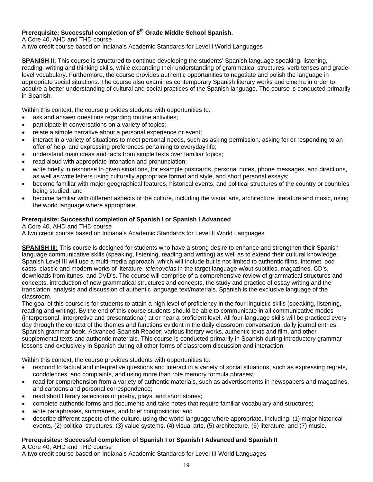# **Prerequisite: Successful completion of 8th Grade Middle School Spanish.**

A Core 40, AHD and THD course

A two credit course based on Indiana's Academic Standards for Level I World Languages

**SPANISH II:** This course is structured to continue developing the students' Spanish language speaking, listening, reading, writing and thinking skills, while expanding their understanding of grammatical structures, verb tenses and gradelevel vocabulary. Furthermore, the course provides authentic opportunities to negotiate and polish the language in appropriate social situations. The course also examines contemporary Spanish literary works and cinema in order to acquire a better understanding of cultural and social practices of the Spanish language. The course is conducted primarily in Spanish.

Within this context, the course provides students with opportunities to:

- ask and answer questions regarding routine activities;
- participate in conversations on a variety of topics;
- relate a simple narrative about a personal experience or event;
- interact in a variety of situations to meet personal needs, such as asking permission, asking for or responding to an offer of help, and expressing preferences pertaining to everyday life;
- understand main ideas and facts from simple texts over familiar topics;
- read aloud with appropriate intonation and pronunciation;
- write briefly in response to given situations, for example postcards, personal notes, phone messages, and directions, as well as write letters using culturally appropriate format and style, and short personal essays;
- become familiar with major geographical features, historical events, and political structures of the country or countries being studied; and
- become familiar with different aspects of the culture, including the visual arts, architecture, literature and music, using the world language where appropriate.

## **Prerequisite: Successful completion of Spanish I or Spanish I Advanced**

A Core 40, AHD and THD course

A two credit course based on Indiana's Academic Standards for Level II World Languages

**SPANISH III:** This course is designed for students who have a strong desire to enhance and strengthen their Spanish language communicative skills (speaking, listening, reading and writing) as well as to extend their cultural knowledge. Spanish Level III will use a multi-media approach, which will include but is not limited to authentic films, internet, pod casts, classic and modern works of literature, *telenovelas* in the target language w/out subtitles, magazines, CD's, downloads from itunes, and DVD's. The course will comprise of a comprehensive review of grammatical structures and concepts, introduction of new grammatical structures and concepts, the study and practice of essay writing and the translation, analysis and discussion of authentic language text/materials. Spanish is the exclusive language of the classroom.

The goal of this course is for students to attain a high level of proficiency in the four linguistic skills (speaking, listening, reading and writing). By the end of this course students should be able to communicate in all communicative modes (interpersonal, interpretive and presentational) at or near a proficient level. All four-language skills will be practiced every day through the context of the themes and functions evident in the daily classroom conversation, daily journal entries, Spanish grammar book, Advanced Spanish Reader, various literary works, authentic texts and film, and other supplemental texts and authentic materials. This course is conducted primarily in Spanish during introductory grammar lessons and exclusively in Spanish during all other forms of classroom discussion and interaction.

Within this context, the course provides students with opportunities to:

- respond to factual and interpretive questions and interact in a variety of social situations, such as expressing regrets, condolences, and complaints, and using more than rote memory formula phrases;
- read for comprehension from a variety of authentic materials, such as advertisements in newspapers and magazines, and cartoons and personal correspondence;
- read short literary selections of poetry, plays, and short stories;
- complete authentic forms and documents and take notes that require familiar vocabulary and structures;
- write paraphrases, summaries, and brief compositions; and
- describe different aspects of the culture, using the world language where appropriate, including: (1) major historical events, (2) political structures, (3) value systems, (4) visual arts, (5) architecture, (6) literature, and (7) music.

## **Prerequisites: Successful completion of Spanish I or Spanish I Advanced and Spanish II**

A Core 40, AHD and THD course

A two credit course based on Indiana's Academic Standards for Level III World Languages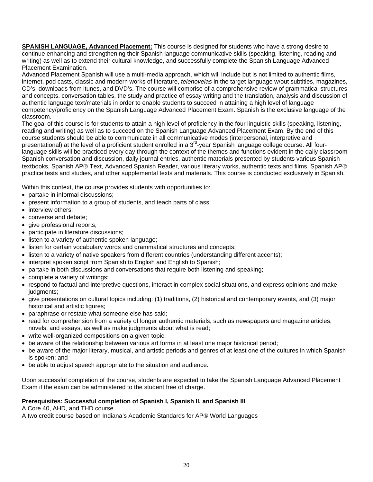**SPANISH LANGUAGE, Advanced Placement:** This course is designed for students who have a strong desire to continue enhancing and strengthening their Spanish language communicative skills (speaking, listening, reading and writing) as well as to extend their cultural knowledge, and successfully complete the Spanish Language Advanced Placement Examination.

Advanced Placement Spanish will use a multi-media approach, which will include but is not limited to authentic films, internet, pod casts, classic and modern works of literature, *telenovelas* in the target language w/out subtitles, magazines, CD's, downloads from itunes, and DVD's. The course will comprise of a comprehensive review of grammatical structures and concepts, conversation tables, the study and practice of essay writing and the translation, analysis and discussion of authentic language text/materials in order to enable students to succeed in attaining a high level of language competency/proficiency on the Spanish Language Advanced Placement Exam. Spanish is the exclusive language of the classroom.

The goal of this course is for students to attain a high level of proficiency in the four linguistic skills (speaking, listening, reading and writing) as well as to succeed on the Spanish Language Advanced Placement Exam. By the end of this course students should be able to communicate in all communicative modes (interpersonal, interpretive and presentational) at the level of a proficient student enrolled in a 3<sup>rd</sup>-year Spanish language college course. All fourlanguage skills will be practiced every day through the context of the themes and functions evident in the daily classroom Spanish conversation and discussion, daily journal entries, authentic materials presented by students various Spanish textbooks, Spanish AP® Text, Advanced Spanish Reader, various literary works, authentic texts and films, Spanish AP® practice tests and studies, and other supplemental texts and materials. This course is conducted exclusively in Spanish.

Within this context, the course provides students with opportunities to:

- partake in informal discussions;
- present information to a group of students, and teach parts of class;
- interview others:
- converse and debate;
- give professional reports;
- participate in literature discussions;
- listen to a variety of authentic spoken language;
- listen for certain vocabulary words and grammatical structures and concepts;
- listen to a variety of native speakers from different countries (understanding different accents);
- interpret spoken script from Spanish to English and English to Spanish;
- partake in both discussions and conversations that require both listening and speaking;
- complete a variety of writings;
- respond to factual and interpretive questions, interact in complex social situations, and express opinions and make judgments;
- give presentations on cultural topics including: (1) traditions, (2) historical and contemporary events, and (3) major historical and artistic figures;
- paraphrase or restate what someone else has said;
- read for comprehension from a variety of longer authentic materials, such as newspapers and magazine articles, novels, and essays, as well as make judgments about what is read;
- write well-organized compositions on a given topic:
- be aware of the relationship between various art forms in at least one major historical period;
- be aware of the major literary, musical, and artistic periods and genres of at least one of the cultures in which Spanish is spoken; and
- be able to adjust speech appropriate to the situation and audience.

Upon successful completion of the course, students are expected to take the Spanish Language Advanced Placement Exam if the exam can be administered to the student free of charge.

### **Prerequisites: Successful completion of Spanish I, Spanish II, and Spanish III**

## A Core 40, AHD, and THD course

A two credit course based on Indiana's Academic Standards for AP® World Languages